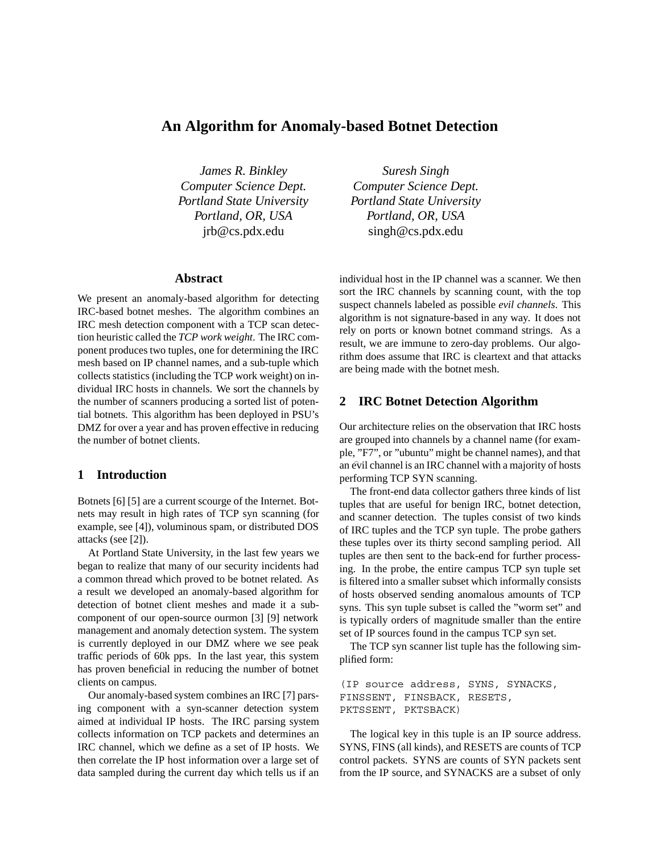# **An Algorithm for Anomaly-based Botnet Detection**

*James R. Binkley Computer Science Dept. Portland State University Portland, OR, USA* jrb@cs.pdx.edu

# **Abstract**

We present an anomaly-based algorithm for detecting IRC-based botnet meshes. The algorithm combines an IRC mesh detection component with a TCP scan detection heuristic called the *TCP work weight*. The IRC component produces two tuples, one for determining the IRC mesh based on IP channel names, and a sub-tuple which collects statistics (including the TCP work weight) on individual IRC hosts in channels. We sort the channels by the number of scanners producing a sorted list of potential botnets. This algorithm has been deployed in PSU's DMZ for over a year and has proven effective in reducing the number of botnet clients.

## **1 Introduction**

Botnets [6] [5] are a current scourge of the Internet. Botnets may result in high rates of TCP syn scanning (for example, see [4]), voluminous spam, or distributed DOS attacks (see [2]).

At Portland State University, in the last few years we began to realize that many of our security incidents had a common thread which proved to be botnet related. As a result we developed an anomaly-based algorithm for detection of botnet client meshes and made it a subcomponent of our open-source ourmon [3] [9] network management and anomaly detection system. The system is currently deployed in our DMZ where we see peak traffic periods of 60k pps. In the last year, this system has proven beneficial in reducing the number of botnet clients on campus.

Our anomaly-based system combines an IRC [7] parsing component with a syn-scanner detection system aimed at individual IP hosts. The IRC parsing system collects information on TCP packets and determines an IRC channel, which we define as a set of IP hosts. We then correlate the IP host information over a large set of data sampled during the current day which tells us if an

*Suresh Singh Computer Science Dept. Portland State University Portland, OR, USA* singh@cs.pdx.edu

individual host in the IP channel was a scanner. We then sort the IRC channels by scanning count, with the top suspect channels labeled as possible *evil channels*. This algorithm is not signature-based in any way. It does not rely on ports or known botnet command strings. As a result, we are immune to zero-day problems. Our algorithm does assume that IRC is cleartext and that attacks are being made with the botnet mesh.

#### **2 IRC Botnet Detection Algorithm**

Our architecture relies on the observation that IRC hosts are grouped into channels by a channel name (for example, "F7", or "ubuntu" might be channel names), and that an evil channel is an IRC channel with a majority of hosts performing TCP SYN scanning.

The front-end data collector gathers three kinds of list tuples that are useful for benign IRC, botnet detection, and scanner detection. The tuples consist of two kinds of IRC tuples and the TCP syn tuple. The probe gathers these tuples over its thirty second sampling period. All tuples are then sent to the back-end for further processing. In the probe, the entire campus TCP syn tuple set is filtered into a smaller subset which informally consists of hosts observed sending anomalous amounts of TCP syns. This syn tuple subset is called the "worm set" and is typically orders of magnitude smaller than the entire set of IP sources found in the campus TCP syn set.

The TCP syn scanner list tuple has the following simplified form:

```
(IP source address, SYNS, SYNACKS,
FINSSENT, FINSBACK, RESETS,
PKTSSENT, PKTSBACK)
```
The logical key in this tuple is an IP source address. SYNS, FINS (all kinds), and RESETS are counts of TCP control packets. SYNS are counts of SYN packets sent from the IP source, and SYNACKS are a subset of only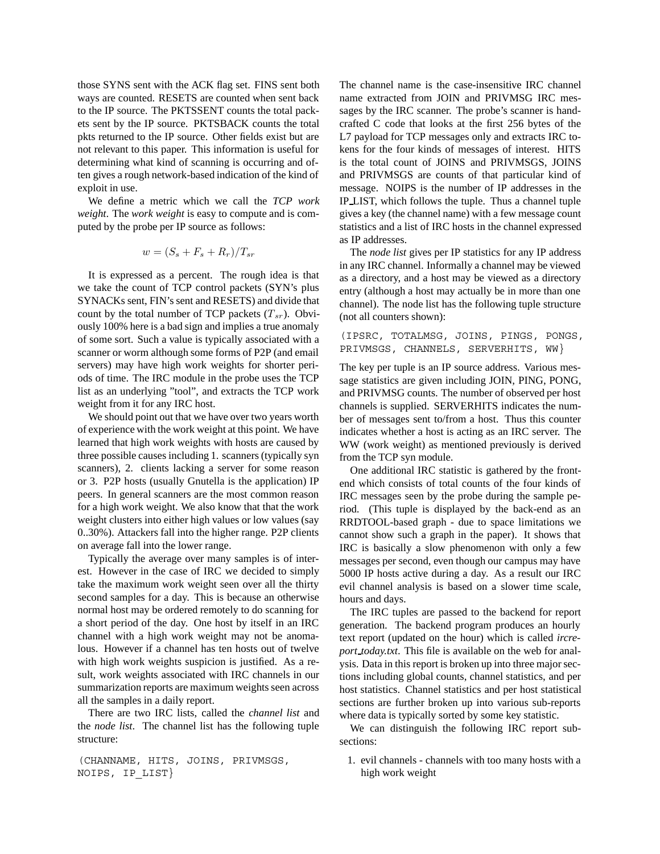those SYNS sent with the ACK flag set. FINS sent both ways are counted. RESETS are counted when sent back to the IP source. The PKTSSENT counts the total packets sent by the IP source. PKTSBACK counts the total pkts returned to the IP source. Other fields exist but are not relevant to this paper. This information is useful for determining what kind of scanning is occurring and often gives a rough network-based indication of the kind of exploit in use.

We define a metric which we call the *TCP work weight*. The *work weight* is easy to compute and is computed by the probe per IP source as follows:

$$
w = (S_s + F_s + R_r)/T_{sr}
$$

It is expressed as a percent. The rough idea is that we take the count of TCP control packets (SYN's plus SYNACKs sent, FIN's sent and RESETS) and divide that count by the total number of TCP packets (T*sr*). Obviously 100% here is a bad sign and implies a true anomaly of some sort. Such a value is typically associated with a scanner or worm although some forms of P2P (and email servers) may have high work weights for shorter periods of time. The IRC module in the probe uses the TCP list as an underlying "tool", and extracts the TCP work weight from it for any IRC host.

We should point out that we have over two years worth of experience with the work weight at this point. We have learned that high work weights with hosts are caused by three possible causes including 1. scanners (typically syn scanners), 2. clients lacking a server for some reason or 3. P2P hosts (usually Gnutella is the application) IP peers. In general scanners are the most common reason for a high work weight. We also know that that the work weight clusters into either high values or low values (say 0..30%). Attackers fall into the higher range. P2P clients on average fall into the lower range.

Typically the average over many samples is of interest. However in the case of IRC we decided to simply take the maximum work weight seen over all the thirty second samples for a day. This is because an otherwise normal host may be ordered remotely to do scanning for a short period of the day. One host by itself in an IRC channel with a high work weight may not be anomalous. However if a channel has ten hosts out of twelve with high work weights suspicion is justified. As a result, work weights associated with IRC channels in our summarization reports are maximum weights seen across all the samples in a daily report.

There are two IRC lists, called the *channel list* and the *node list*. The channel list has the following tuple structure:

```
(CHANNAME, HITS, JOINS, PRIVMSGS,
NOIPS, IP_LIST}
```
The channel name is the case-insensitive IRC channel name extracted from JOIN and PRIVMSG IRC messages by the IRC scanner. The probe's scanner is handcrafted C code that looks at the first 256 bytes of the L7 payload for TCP messages only and extracts IRC tokens for the four kinds of messages of interest. HITS is the total count of JOINS and PRIVMSGS, JOINS and PRIVMSGS are counts of that particular kind of message. NOIPS is the number of IP addresses in the IP LIST, which follows the tuple. Thus a channel tuple gives a key (the channel name) with a few message count statistics and a list of IRC hosts in the channel expressed as IP addresses.

The *node list* gives per IP statistics for any IP address in any IRC channel. Informally a channel may be viewed as a directory, and a host may be viewed as a directory entry (although a host may actually be in more than one channel). The node list has the following tuple structure (not all counters shown):

(IPSRC, TOTALMSG, JOINS, PINGS, PONGS, PRIVMSGS, CHANNELS, SERVERHITS, WW}

The key per tuple is an IP source address. Various message statistics are given including JOIN, PING, PONG, and PRIVMSG counts. The number of observed per host channels is supplied. SERVERHITS indicates the number of messages sent to/from a host. Thus this counter indicates whether a host is acting as an IRC server. The WW (work weight) as mentioned previously is derived from the TCP syn module.

One additional IRC statistic is gathered by the frontend which consists of total counts of the four kinds of IRC messages seen by the probe during the sample period. (This tuple is displayed by the back-end as an RRDTOOL-based graph - due to space limitations we cannot show such a graph in the paper). It shows that IRC is basically a slow phenomenon with only a few messages per second, even though our campus may have 5000 IP hosts active during a day. As a result our IRC evil channel analysis is based on a slower time scale, hours and days.

The IRC tuples are passed to the backend for report generation. The backend program produces an hourly text report (updated on the hour) which is called *ircreport today.txt*. This file is available on the web for analysis. Data in this report is broken up into three major sections including global counts, channel statistics, and per host statistics. Channel statistics and per host statistical sections are further broken up into various sub-reports where data is typically sorted by some key statistic.

We can distinguish the following IRC report subsections:

1. evil channels - channels with too many hosts with a high work weight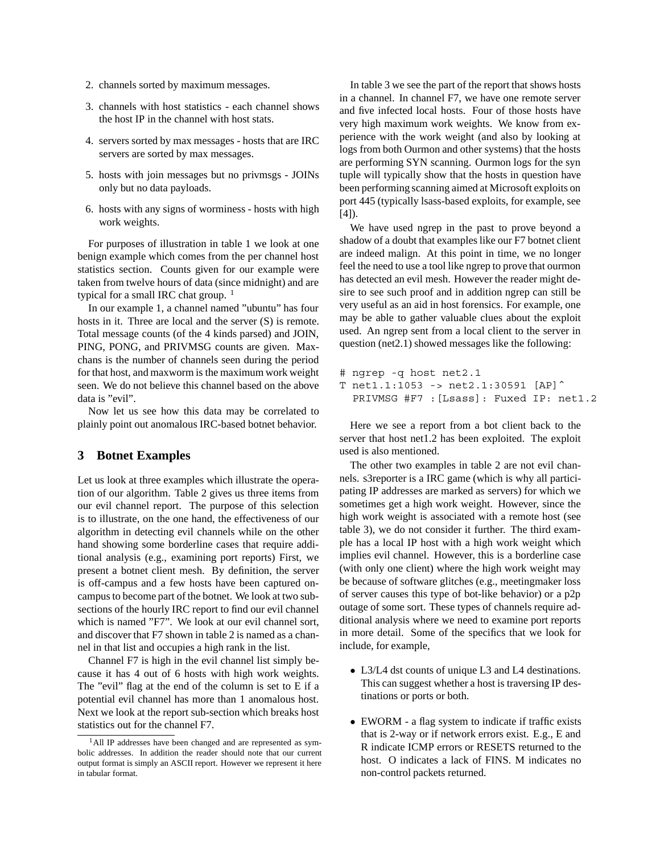- 2. channels sorted by maximum messages.
- 3. channels with host statistics each channel shows the host IP in the channel with host stats.
- 4. servers sorted by max messages hosts that are IRC servers are sorted by max messages.
- 5. hosts with join messages but no privmsgs JOINs only but no data payloads.
- 6. hosts with any signs of worminess hosts with high work weights.

For purposes of illustration in table 1 we look at one benign example which comes from the per channel host statistics section. Counts given for our example were taken from twelve hours of data (since midnight) and are typical for a small IRC chat group.  $1$ 

In our example 1, a channel named "ubuntu" has four hosts in it. Three are local and the server (S) is remote. Total message counts (of the 4 kinds parsed) and JOIN, PING, PONG, and PRIVMSG counts are given. Maxchans is the number of channels seen during the period for that host, and maxworm is the maximum work weight seen. We do not believe this channel based on the above data is "evil".

Now let us see how this data may be correlated to plainly point out anomalous IRC-based botnet behavior.

#### **3 Botnet Examples**

Let us look at three examples which illustrate the operation of our algorithm. Table 2 gives us three items from our evil channel report. The purpose of this selection is to illustrate, on the one hand, the effectiveness of our algorithm in detecting evil channels while on the other hand showing some borderline cases that require additional analysis (e.g., examining port reports) First, we present a botnet client mesh. By definition, the server is off-campus and a few hosts have been captured oncampus to become part of the botnet. We look at two subsections of the hourly IRC report to find our evil channel which is named "F7". We look at our evil channel sort, and discover that F7 shown in table 2 is named as a channel in that list and occupies a high rank in the list.

Channel F7 is high in the evil channel list simply because it has 4 out of 6 hosts with high work weights. The "evil" flag at the end of the column is set to E if a potential evil channel has more than 1 anomalous host. Next we look at the report sub-section which breaks host statistics out for the channel F7.

In table 3 we see the part of the report that shows hosts in a channel. In channel F7, we have one remote server and five infected local hosts. Four of those hosts have very high maximum work weights. We know from experience with the work weight (and also by looking at logs from both Ourmon and other systems) that the hosts are performing SYN scanning. Ourmon logs for the syn tuple will typically show that the hosts in question have been performing scanning aimed at Microsoft exploits on port 445 (typically lsass-based exploits, for example, see [4]).

We have used ngrep in the past to prove beyond a shadow of a doubt that examples like our F7 botnet client are indeed malign. At this point in time, we no longer feel the need to use a tool like ngrep to prove that ourmon has detected an evil mesh. However the reader might desire to see such proof and in addition ngrep can still be very useful as an aid in host forensics. For example, one may be able to gather valuable clues about the exploit used. An ngrep sent from a local client to the server in question (net2.1) showed messages like the following:

```
# ngrep -q host net2.1
T net1.1:1053 -> net2.1:30591 [AP]ˆ
  PRIVMSG #F7 :[Lsass]: Fuxed IP: net1.2
```
Here we see a report from a bot client back to the server that host net1.2 has been exploited. The exploit used is also mentioned.

The other two examples in table 2 are not evil channels. s3reporter is a IRC game (which is why all participating IP addresses are marked as servers) for which we sometimes get a high work weight. However, since the high work weight is associated with a remote host (see table 3), we do not consider it further. The third example has a local IP host with a high work weight which implies evil channel. However, this is a borderline case (with only one client) where the high work weight may be because of software glitches (e.g., meetingmaker loss of server causes this type of bot-like behavior) or a p2p outage of some sort. These types of channels require additional analysis where we need to examine port reports in more detail. Some of the specifics that we look for include, for example,

- *•* L3/L4 dst counts of unique L3 and L4 destinations. This can suggest whether a host is traversing IP destinations or ports or both.
- *•* EWORM a flag system to indicate if traffic exists that is 2-way or if network errors exist. E.g., E and R indicate ICMP errors or RESETS returned to the host. O indicates a lack of FINS. M indicates no non-control packets returned.

<sup>&</sup>lt;sup>1</sup>All IP addresses have been changed and are represented as symbolic addresses. In addition the reader should note that our current output format is simply an ASCII report. However we represent it here in tabular format.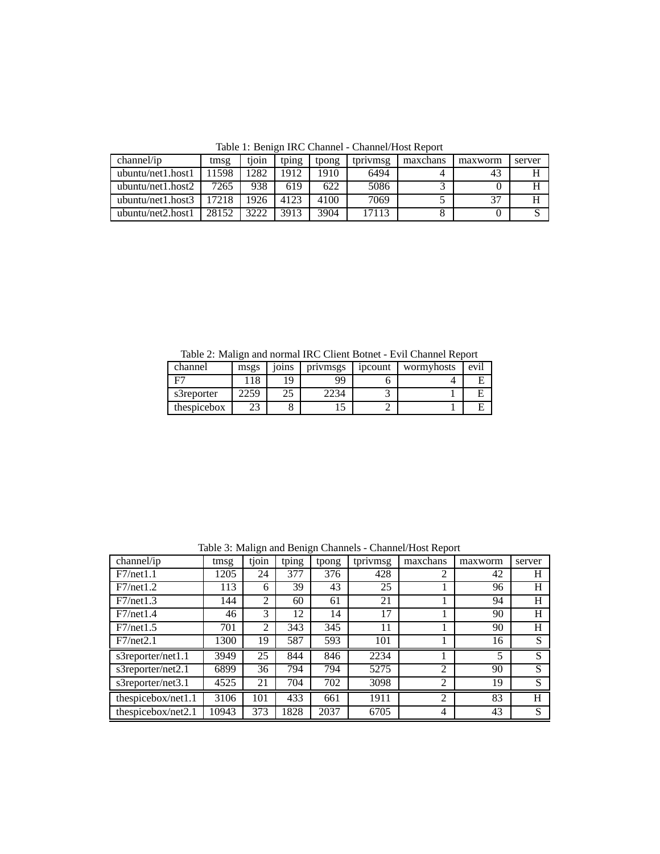| channel/ip         | tmsg  | tioin | tping | tpong | tprivmsg | maxchans | maxworm | server |
|--------------------|-------|-------|-------|-------|----------|----------|---------|--------|
| ubuntu/net1.host1  | 11598 | 1282  | 912   | 1910  | 6494     |          |         |        |
| ubuntu/net1.host2  | 7265  | 938   | 619   | 622   | 5086     |          |         |        |
| ubuntu/net1.host3  | 17218 | 1926  | 4123  | 4100  | 7069     |          | 37      |        |
| ubuntu/net2, host1 | 28152 | 3222  | 3913  | 3904  | 17113    |          |         |        |

Table 1: Benign IRC Channel - Channel/Host Report

Table 2: Malign and normal IRC Client Botnet - Evil Channel Report

| channel     | msgs | 101 <sub>ns</sub> | privmsgs | ipcount | wormyhosts | ev <sub>1</sub> |
|-------------|------|-------------------|----------|---------|------------|-----------------|
|             | 18   | 19                | QQ       |         |            | E               |
| s3reporter  | 259  | رے                | .234     |         |            | Е               |
| thespicebox |      |                   | ι.       |         |            | E               |

Table 3: Malign and Benign Channels - Channel/Host Report

| $channel$ ip       | tmsg  | tjoin          | tping | tpong | tprivmsg | maxchans       | maxworm | server |
|--------------------|-------|----------------|-------|-------|----------|----------------|---------|--------|
| F7/net1.1          | 1205  | 24             | 377   | 376   | 428      |                | 42      | H      |
| F7/net1.2          | 113   | 6              | 39    | 43    | 25       |                | 96      | H      |
| F7/net1.3          | 144   | $\overline{2}$ | 60    | 61    | 21       |                | 94      | H      |
| F7/net1.4          | 46    | 3              | 12    | 14    | 17       |                | 90      | H      |
| F7/net1.5          | 701   | 2              | 343   | 345   | 11       |                | 90      | H      |
| F7/net2.1          | 1300  | 19             | 587   | 593   | 101      |                | 16      | S      |
| s3reporter/net1.1  | 3949  | 25             | 844   | 846   | 2234     |                | 5       | S      |
| s3reporter/net2.1  | 6899  | 36             | 794   | 794   | 5275     | 2              | 90      | S      |
| s3reporter/net3.1  | 4525  | 21             | 704   | 702   | 3098     | $\overline{2}$ | 19      | S      |
| thespicebox/net1.1 | 3106  | 101            | 433   | 661   | 1911     | 2              | 83      | H      |
| thespicebox/net2.1 | 10943 | 373            | 1828  | 2037  | 6705     | 4              | 43      | S      |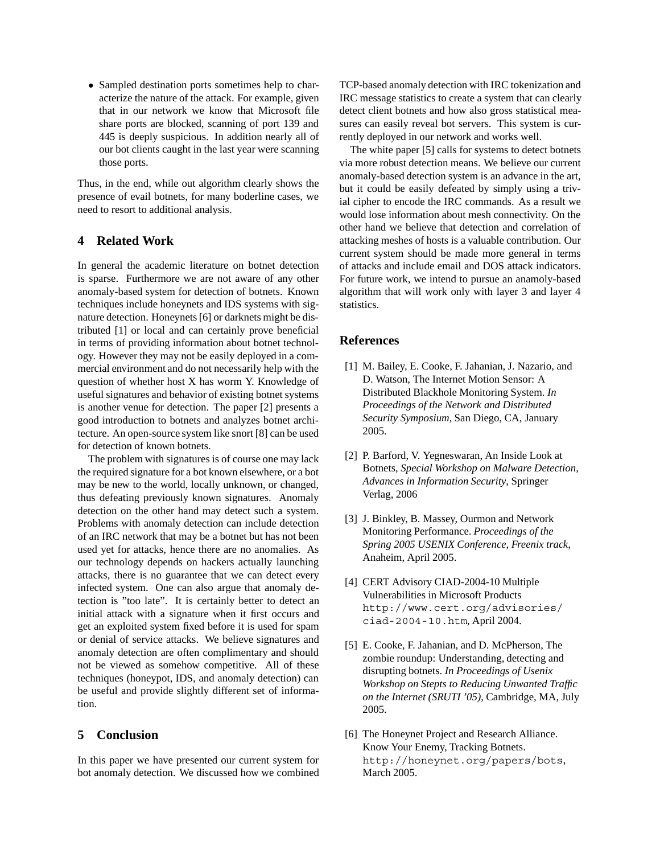• Sampled destination ports sometimes help to characterize the nature of the attack. For example, given that in our network we know that Microsoft file share ports are blocked, scanning of port 139 and 445 is deeply suspicious. In addition nearly all of our bot clients caught in the last year were scanning those ports.

Thus, in the end, while out algorithm clearly shows the presence of evail botnets, for many boderline cases, we need to resort to additional analysis.

## **4 Related Work**

In general the academic literature on botnet detection is sparse. Furthermore we are not aware of any other anomaly-based system for detection of botnets. Known techniques include honeynets and IDS systems with signature detection. Honeynets [6] or darknets might be distributed [1] or local and can certainly prove beneficial in terms of providing information about botnet technology. However they may not be easily deployed in a commercial environment and do not necessarily help with the question of whether host X has worm Y. Knowledge of useful signatures and behavior of existing botnet systems is another venue for detection. The paper [2] presents a good introduction to botnets and analyzes botnet architecture. An open-source system like snort [8] can be used for detection of known botnets.

The problem with signatures is of course one may lack the required signature for a bot known elsewhere, or a bot may be new to the world, locally unknown, or changed, thus defeating previously known signatures. Anomaly detection on the other hand may detect such a system. Problems with anomaly detection can include detection of an IRC network that may be a botnet but has not been used yet for attacks, hence there are no anomalies. As our technology depends on hackers actually launching attacks, there is no guarantee that we can detect every infected system. One can also argue that anomaly detection is "too late". It is certainly better to detect an initial attack with a signature when it first occurs and get an exploited system fixed before it is used for spam or denial of service attacks. We believe signatures and anomaly detection are often complimentary and should not be viewed as somehow competitive. All of these techniques (honeypot, IDS, and anomaly detection) can be useful and provide slightly different set of information.

# **5 Conclusion**

In this paper we have presented our current system for bot anomaly detection. We discussed how we combined TCP-based anomaly detection with IRC tokenization and IRC message statistics to create a system that can clearly detect client botnets and how also gross statistical measures can easily reveal bot servers. This system is currently deployed in our network and works well.

The white paper [5] calls for systems to detect botnets via more robust detection means. We believe our current anomaly-based detection system is an advance in the art, but it could be easily defeated by simply using a trivial cipher to encode the IRC commands. As a result we would lose information about mesh connectivity. On the other hand we believe that detection and correlation of attacking meshes of hosts is a valuable contribution. Our current system should be made more general in terms of attacks and include email and DOS attack indicators. For future work, we intend to pursue an anamoly-based algorithm that will work only with layer 3 and layer 4 statistics.

#### **References**

- [1] M. Bailey, E. Cooke, F. Jahanian, J. Nazario, and D. Watson, The Internet Motion Sensor: A Distributed Blackhole Monitoring System. *In Proceedings of the Network and Distributed Security Symposium*, San Diego, CA, January 2005.
- [2] P. Barford, V. Yegneswaran, An Inside Look at Botnets, *Special Workshop on Malware Detection, Advances in Information Security*, Springer Verlag, 2006
- [3] J. Binkley, B. Massey, Ourmon and Network Monitoring Performance. *Proceedings of the Spring 2005 USENIX Conference, Freenix track*, Anaheim, April 2005.
- [4] CERT Advisory CIAD-2004-10 Multiple Vulnerabilities in Microsoft Products http://www.cert.org/advisories/ ciad-2004-10.htm, April 2004.
- [5] E. Cooke, F. Jahanian, and D. McPherson, The zombie roundup: Understanding, detecting and disrupting botnets. *In Proceedings of Usenix Workshop on Stepts to Reducing Unwanted Traffic on the Internet (SRUTI '05)*, Cambridge, MA, July 2005.
- [6] The Honeynet Project and Research Alliance. Know Your Enemy, Tracking Botnets. http://honeynet.org/papers/bots, March 2005.